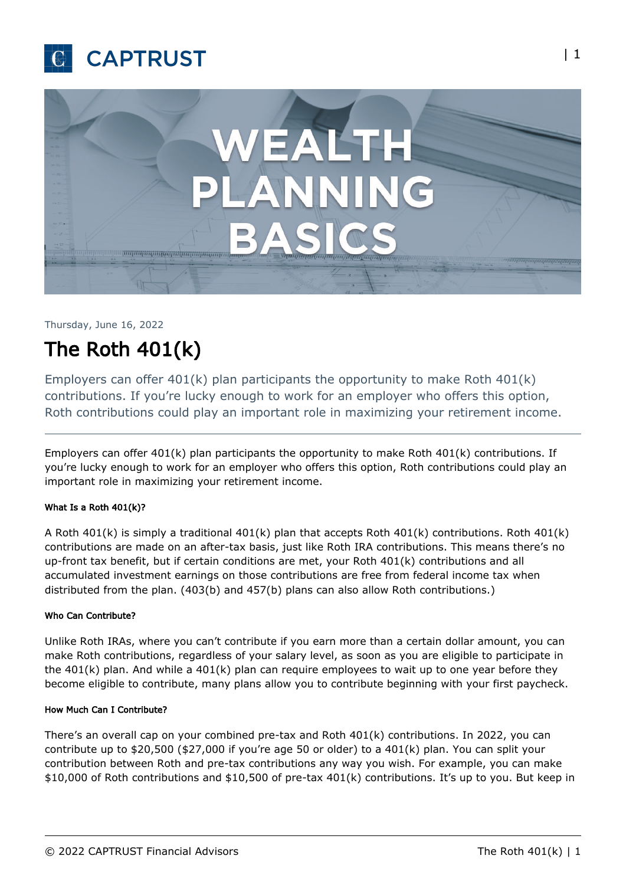



# Thursday, June 16, 2022

# The Roth 401(k)

Employers can offer 401(k) plan participants the opportunity to make Roth 401(k) contributions. If you're lucky enough to work for an employer who offers this option, Roth contributions could play an important role in maximizing your retirement income.

Employers can offer 401(k) plan participants the opportunity to make Roth 401(k) contributions. If you're lucky enough to work for an employer who offers this option, Roth contributions could play an important role in maximizing your retirement income.

## What Is a Roth 401(k)?

A Roth 401(k) is simply a traditional 401(k) plan that accepts Roth 401(k) contributions. Roth 401(k) contributions are made on an after-tax basis, just like Roth IRA contributions. This means there's no up-front tax benefit, but if certain conditions are met, your Roth 401(k) contributions and all accumulated investment earnings on those contributions are free from federal income tax when distributed from the plan. (403(b) and 457(b) plans can also allow Roth contributions.)

#### Who Can Contribute?

Unlike Roth IRAs, where you can't contribute if you earn more than a certain dollar amount, you can make Roth contributions, regardless of your salary level, as soon as you are eligible to participate in the 401(k) plan. And while a 401(k) plan can require employees to wait up to one year before they become eligible to contribute, many plans allow you to contribute beginning with your first paycheck.

#### How Much Can I Contribute?

There's an overall cap on your combined pre-tax and Roth 401(k) contributions. In 2022, you can contribute up to  $$20,500$  ( $$27,000$  if you're age 50 or older) to a  $401(k)$  plan. You can split your contribution between Roth and pre-tax contributions any way you wish. For example, you can make \$10,000 of Roth contributions and \$10,500 of pre-tax 401(k) contributions. It's up to you. But keep in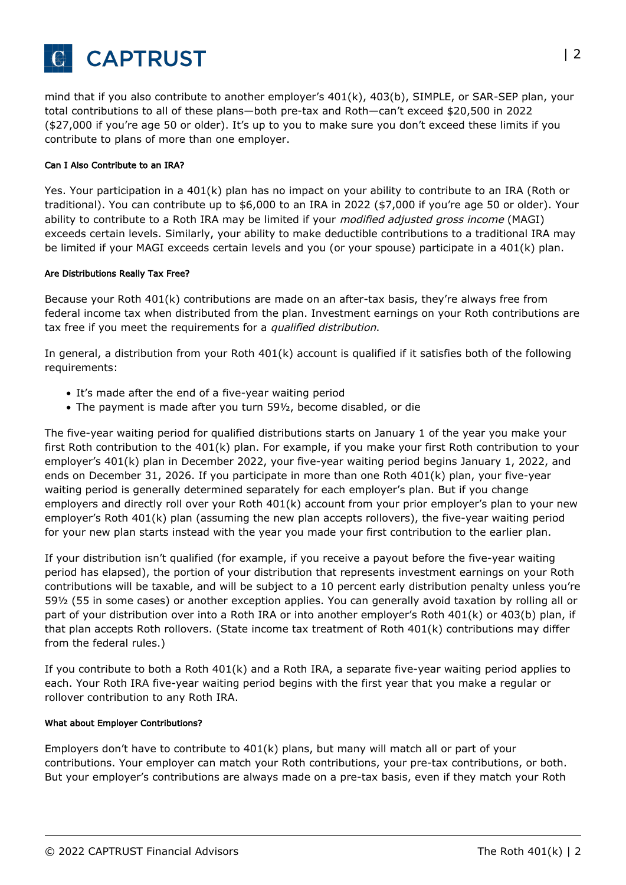

mind that if you also contribute to another employer's 401(k), 403(b), SIMPLE, or SAR-SEP plan, your total contributions to all of these plans—both pre-tax and Roth—can't exceed \$20,500 in 2022 (\$27,000 if you're age 50 or older). It's up to you to make sure you don't exceed these limits if you contribute to plans of more than one employer.

#### Can I Also Contribute to an IRA?

Yes. Your participation in a 401(k) plan has no impact on your ability to contribute to an IRA (Roth or traditional). You can contribute up to \$6,000 to an IRA in 2022 (\$7,000 if you're age 50 or older). Your ability to contribute to a Roth IRA may be limited if your modified adjusted gross income (MAGI) exceeds certain levels. Similarly, your ability to make deductible contributions to a traditional IRA may be limited if your MAGI exceeds certain levels and you (or your spouse) participate in a 401(k) plan.

#### Are Distributions Really Tax Free?

Because your Roth 401(k) contributions are made on an after-tax basis, they're always free from federal income tax when distributed from the plan. Investment earnings on your Roth contributions are tax free if you meet the requirements for a qualified distribution.

In general, a distribution from your Roth 401(k) account is qualified if it satisfies both of the following requirements:

- It's made after the end of a five-year waiting period
- The payment is made after you turn 59½, become disabled, or die

The five-year waiting period for qualified distributions starts on January 1 of the year you make your first Roth contribution to the 401(k) plan. For example, if you make your first Roth contribution to your employer's 401(k) plan in December 2022, your five-year waiting period begins January 1, 2022, and ends on December 31, 2026. If you participate in more than one Roth 401(k) plan, your five-year waiting period is generally determined separately for each employer's plan. But if you change employers and directly roll over your Roth 401(k) account from your prior employer's plan to your new employer's Roth 401(k) plan (assuming the new plan accepts rollovers), the five-year waiting period for your new plan starts instead with the year you made your first contribution to the earlier plan.

If your distribution isn't qualified (for example, if you receive a payout before the five-year waiting period has elapsed), the portion of your distribution that represents investment earnings on your Roth contributions will be taxable, and will be subject to a 10 percent early distribution penalty unless you're 59½ (55 in some cases) or another exception applies. You can generally avoid taxation by rolling all or part of your distribution over into a Roth IRA or into another employer's Roth 401(k) or 403(b) plan, if that plan accepts Roth rollovers. (State income tax treatment of Roth 401(k) contributions may differ from the federal rules.)

If you contribute to both a Roth 401(k) and a Roth IRA, a separate five-year waiting period applies to each. Your Roth IRA five-year waiting period begins with the first year that you make a regular or rollover contribution to any Roth IRA.

#### What about Employer Contributions?

Employers don't have to contribute to 401(k) plans, but many will match all or part of your contributions. Your employer can match your Roth contributions, your pre-tax contributions, or both. But your employer's contributions are always made on a pre-tax basis, even if they match your Roth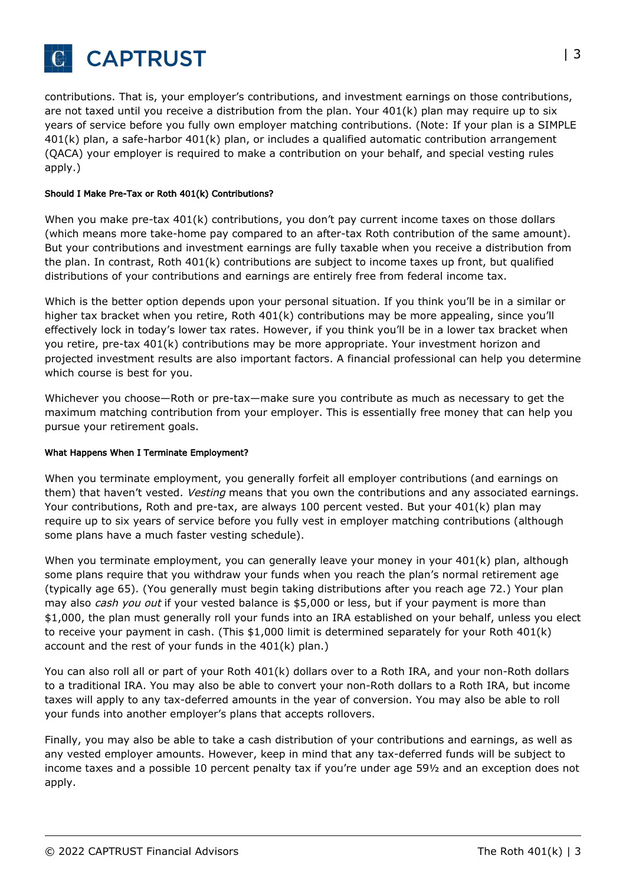

contributions. That is, your employer's contributions, and investment earnings on those contributions, are not taxed until you receive a distribution from the plan. Your 401(k) plan may require up to six years of service before you fully own employer matching contributions. (Note: If your plan is a SIMPLE 401(k) plan, a safe-harbor 401(k) plan, or includes a qualified automatic contribution arrangement (QACA) your employer is required to make a contribution on your behalf, and special vesting rules apply.)

## Should I Make Pre-Tax or Roth 401(k) Contributions?

When you make pre-tax 401(k) contributions, you don't pay current income taxes on those dollars (which means more take-home pay compared to an after-tax Roth contribution of the same amount). But your contributions and investment earnings are fully taxable when you receive a distribution from the plan. In contrast, Roth 401(k) contributions are subject to income taxes up front, but qualified distributions of your contributions and earnings are entirely free from federal income tax.

Which is the better option depends upon your personal situation. If you think you'll be in a similar or higher tax bracket when you retire, Roth 401(k) contributions may be more appealing, since you'll effectively lock in today's lower tax rates. However, if you think you'll be in a lower tax bracket when you retire, pre-tax 401(k) contributions may be more appropriate. Your investment horizon and projected investment results are also important factors. A financial professional can help you determine which course is best for you.

Whichever you choose—Roth or pre-tax—make sure you contribute as much as necessary to get the maximum matching contribution from your employer. This is essentially free money that can help you pursue your retirement goals.

#### What Happens When I Terminate Employment?

When you terminate employment, you generally forfeit all employer contributions (and earnings on them) that haven't vested. Vesting means that you own the contributions and any associated earnings. Your contributions, Roth and pre-tax, are always 100 percent vested. But your 401(k) plan may require up to six years of service before you fully vest in employer matching contributions (although some plans have a much faster vesting schedule).

When you terminate employment, you can generally leave your money in your 401(k) plan, although some plans require that you withdraw your funds when you reach the plan's normal retirement age (typically age 65). (You generally must begin taking distributions after you reach age 72.) Your plan may also cash you out if your vested balance is \$5,000 or less, but if your payment is more than \$1,000, the plan must generally roll your funds into an IRA established on your behalf, unless you elect to receive your payment in cash. (This \$1,000 limit is determined separately for your Roth 401(k) account and the rest of your funds in the 401(k) plan.)

You can also roll all or part of your Roth 401(k) dollars over to a Roth IRA, and your non-Roth dollars to a traditional IRA. You may also be able to convert your non-Roth dollars to a Roth IRA, but income taxes will apply to any tax-deferred amounts in the year of conversion. You may also be able to roll your funds into another employer's plans that accepts rollovers.

Finally, you may also be able to take a cash distribution of your contributions and earnings, as well as any vested employer amounts. However, keep in mind that any tax-deferred funds will be subject to income taxes and a possible 10 percent penalty tax if you're under age 59½ and an exception does not apply.